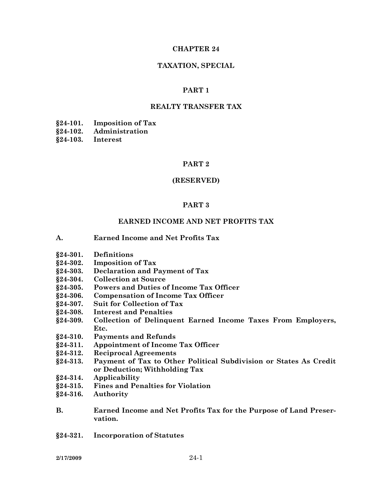#### **CHAPTER 24**

#### **TAXATION, SPECIAL**

#### **PART 1**

#### **REALTY TRANSFER TAX**

**§24-101. Imposition of Tax** 

**§24-102. Administration** 

**§24-103. Interest** 

#### **PART 2**

#### **(RESERVED)**

#### **PART 3**

#### **EARNED INCOME AND NET PROFITS TAX**

- **A. Earned Income and Net Profits Tax**
- **§24-301. Definitions**
- **§24-302. Imposition of Tax**
- **§24-303. Declaration and Payment of Tax**
- **§24-304. Collection at Source**
- **§24-305. Powers and Duties of Income Tax Officer**
- **§24-306. Compensation of Income Tax Officer**
- **§24-307. Suit for Collection of Tax**
- **§24-308. Interest and Penalties**
- **§24-309. Collection of Delinquent Earned Income Taxes From Employers, Etc.**
- **§24-310. Payments and Refunds**
- **§24-311. Appointment of Income Tax Officer**
- **§24-312. Reciprocal Agreements**
- **§24-313. Payment of Tax to Other Political Subdivision or States As Credit or Deduction; Withholding Tax**
- **§24-314. Applicability**
- **§24-315. Fines and Penalties for Violation**
- **§24-316. Authority**
- **B. Earned Income and Net Profits Tax for the Purpose of Land Preservation.**
- **§24-321. Incorporation of Statutes**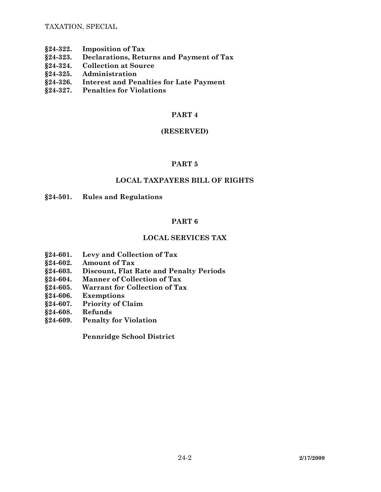TAXATION, SPECIAL

- **§24-322. Imposition of Tax**
- **§24-323. Declarations, Returns and Payment of Tax**
- **§24-324. Collection at Source**
- **§24-325. Administration**
- **§24-326. Interest and Penalties for Late Payment**
- **§24-327. Penalties for Violations**

## **PART 4**

## **(RESERVED)**

# **PART 5**

## **LOCAL TAXPAYERS BILL OF RIGHTS**

### **§24-501. Rules and Regulations**

# **PART 6**

# **LOCAL SERVICES TAX**

- **§24-601. Levy and Collection of Tax**
- **§24-602. Amount of Tax**
- **§24-603. Discount, Flat Rate and Penalty Periods**
- **§24-604. Manner of Collection of Tax**
- **§24-605. Warrant for Collection of Tax**
- **§24-606. Exemptions**
- **§24-607. Priority of Claim**
- **§24-608. Refunds**
- **§24-609. Penalty for Violation**

 **Pennridge School District**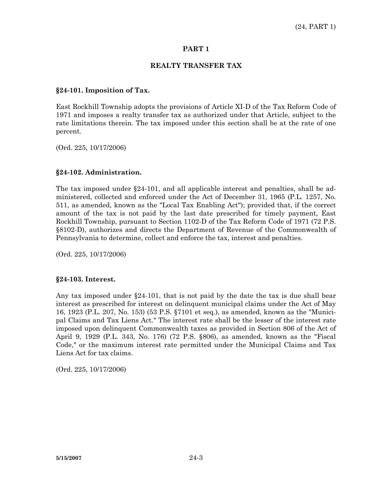#### **REALTY TRANSFER TAX**

#### **§24-101. Imposition of Tax.**

East Rockhill Township adopts the provisions of Article XI-D of the Tax Reform Code of 1971 and imposes a realty transfer tax as authorized under that Article, subject to the rate limitations therein. The tax imposed under this section shall be at the rate of one percent.

(Ord. 225, 10/17/2006)

#### **§24-102. Administration.**

The tax imposed under  $\S 24-101$ , and all applicable interest and penalties, shall be administered, collected and enforced under the Act of December 31, 1965 (P.L. 1257, No. 511, as amended, known as the "Local Tax Enabling Act"); provided that, if the correct amount of the tax is not paid by the last date prescribed for timely payment, East Rockhill Township, pursuant to Section 1102-D of the Tax Reform Code of 1971 (72 P.S. §8102-D), authorizes and directs the Department of Revenue of the Commonwealth of Pennsylvania to determine, collect and enforce the tax, interest and penalties.

(Ord. 225, 10/17/2006)

#### **§24-103. Interest.**

Any tax imposed under §24-101, that is not paid by the date the tax is due shall bear interest as prescribed for interest on delinquent municipal claims under the Act of May 16, 1923 (P.L. 207, No. 153) (53 P.S. §7101 et seq.), as amended, known as the "Municipal Claims and Tax Liens Act." The interest rate shall be the lesser of the interest rate imposed upon delinquent Commonwealth taxes as provided in Section 806 of the Act of April 9, 1929 (P.L. 343, No. 176) (72 P.S. §806), as amended, known as the "Fiscal Code," or the maximum interest rate permitted under the Municipal Claims and Tax Liens Act for tax claims.

(Ord. 225, 10/17/2006)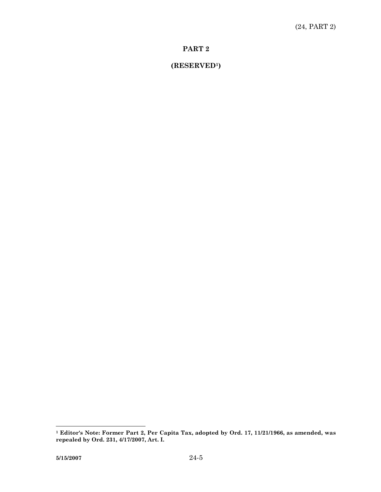# **(RESERVED1)**

**<sup>1</sup> Editor's Note: Former Part 2, Per Capita Tax, adopted by Ord. 17, 11/21/1966, as amended, was repealed by Ord. 231, 4/17/2007, Art. I.**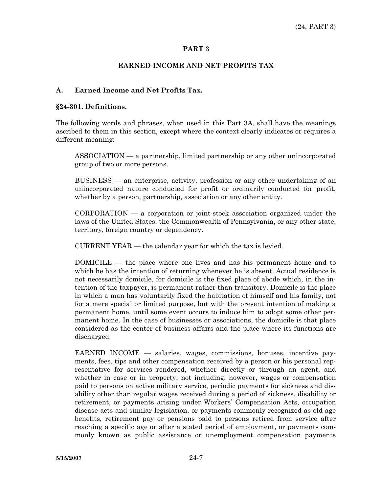### **EARNED INCOME AND NET PROFITS TAX**

### **A. Earned Income and Net Profits Tax.**

#### **§24-301. Definitions.**

The following words and phrases, when used in this Part 3A, shall have the meanings ascribed to them in this section, except where the context clearly indicates or requires a different meaning:

 ASSOCIATION — a partnership, limited partnership or any other unincorporated group of two or more persons.

 BUSINESS — an enterprise, activity, profession or any other undertaking of an unincorporated nature conducted for profit or ordinarily conducted for profit, whether by a person, partnership, association or any other entity.

 CORPORATION — a corporation or joint-stock association organized under the laws of the United States, the Commonwealth of Pennsylvania, or any other state, territory, foreign country or dependency.

CURRENT YEAR — the calendar year for which the tax is levied.

 DOMICILE — the place where one lives and has his permanent home and to which he has the intention of returning whenever he is absent. Actual residence is not necessarily domicile, for domicile is the fixed place of abode which, in the intention of the taxpayer, is permanent rather than transitory. Domicile is the place in which a man has voluntarily fixed the habitation of himself and his family, not for a mere special or limited purpose, but with the present intention of making a permanent home, until some event occurs to induce him to adopt some other permanent home. In the case of businesses or associations, the domicile is that place considered as the center of business affairs and the place where its functions are discharged.

 EARNED INCOME — salaries, wages, commissions, bonuses, incentive payments, fees, tips and other compensation received by a person or his personal representative for services rendered, whether directly or through an agent, and whether in case or in property; not including, however, wages or compensation paid to persons on active military service, periodic payments for sickness and disability other than regular wages received during a period of sickness, disability or retirement, or payments arising under Workers' Compensation Acts, occupation disease acts and similar legislation, or payments commonly recognized as old age benefits, retirement pay or pensions paid to persons retired from service after reaching a specific age or after a stated period of employment, or payments commonly known as public assistance or unemployment compensation payments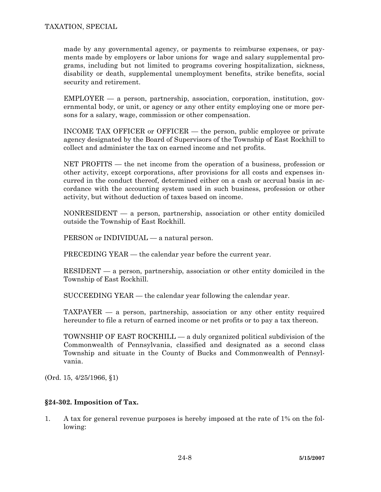made by any governmental agency, or payments to reimburse expenses, or payments made by employers or labor unions for wage and salary supplemental programs, including but not limited to programs covering hospitalization, sickness, disability or death, supplemental unemployment benefits, strike benefits, social security and retirement.

 EMPLOYER — a person, partnership, association, corporation, institution, governmental body, or unit, or agency or any other entity employing one or more persons for a salary, wage, commission or other compensation.

 INCOME TAX OFFICER or OFFICER — the person, public employee or private agency designated by the Board of Supervisors of the Township of East Rockhill to collect and administer the tax on earned income and net profits.

 NET PROFITS — the net income from the operation of a business, profession or other activity, except corporations, after provisions for all costs and expenses incurred in the conduct thereof, determined either on a cash or accrual basis in accordance with the accounting system used in such business, profession or other activity, but without deduction of taxes based on income.

 NONRESIDENT — a person, partnership, association or other entity domiciled outside the Township of East Rockhill.

PERSON or INDIVIDUAL — a natural person.

PRECEDING YEAR — the calendar year before the current year.

 RESIDENT — a person, partnership, association or other entity domiciled in the Township of East Rockhill.

SUCCEEDING YEAR — the calendar year following the calendar year.

 TAXPAYER — a person, partnership, association or any other entity required hereunder to file a return of earned income or net profits or to pay a tax thereon.

 TOWNSHIP OF EAST ROCKHILL — a duly organized political subdivision of the Commonwealth of Pennsylvania, classified and designated as a second class Township and situate in the County of Bucks and Commonwealth of Pennsylvania.

(Ord. 15, 4/25/1966, §1)

## **§24-302. Imposition of Tax.**

1. A tax for general revenue purposes is hereby imposed at the rate of 1% on the following: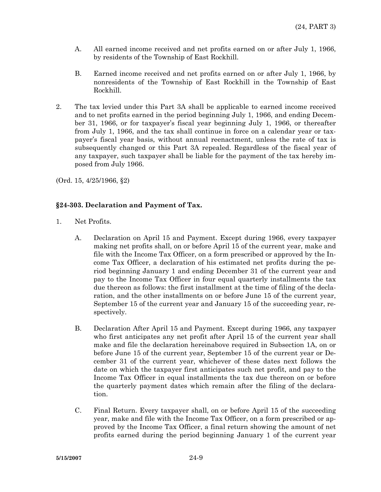- A. All earned income received and net profits earned on or after July 1, 1966, by residents of the Township of East Rockhill.
- B. Earned income received and net profits earned on or after July 1, 1966, by nonresidents of the Township of East Rockhill in the Township of East Rockhill.
- 2. The tax levied under this Part 3A shall be applicable to earned income received and to net profits earned in the period beginning July 1, 1966, and ending December 31, 1966, or for taxpayer's fiscal year beginning July 1, 1966, or thereafter from July 1, 1966, and the tax shall continue in force on a calendar year or taxpayer's fiscal year basis, without annual reenactment, unless the rate of tax is subsequently changed or this Part 3A repealed. Regardless of the fiscal year of any taxpayer, such taxpayer shall be liable for the payment of the tax hereby imposed from July 1966.

(Ord. 15, 4/25/1966, §2)

## **§24-303. Declaration and Payment of Tax.**

- 1. Net Profits.
	- A. Declaration on April 15 and Payment. Except during 1966, every taxpayer making net profits shall, on or before April 15 of the current year, make and file with the Income Tax Officer, on a form prescribed or approved by the Income Tax Officer, a declaration of his estimated net profits during the period beginning January 1 and ending December 31 of the current year and pay to the Income Tax Officer in four equal quarterly installments the tax due thereon as follows: the first installment at the time of filing of the declaration, and the other installments on or before June 15 of the current year, September 15 of the current year and January 15 of the succeeding year, respectively.
	- B. Declaration After April 15 and Payment. Except during 1966, any taxpayer who first anticipates any net profit after April 15 of the current year shall make and file the declaration hereinabove required in Subsection 1A, on or before June 15 of the current year, September 15 of the current year or December 31 of the current year, whichever of these dates next follows the date on which the taxpayer first anticipates such net profit, and pay to the Income Tax Officer in equal installments the tax due thereon on or before the quarterly payment dates which remain after the filing of the declaration.
	- C. Final Return. Every taxpayer shall, on or before April 15 of the succeeding year, make and file with the Income Tax Officer, on a form prescribed or approved by the Income Tax Officer, a final return showing the amount of net profits earned during the period beginning January 1 of the current year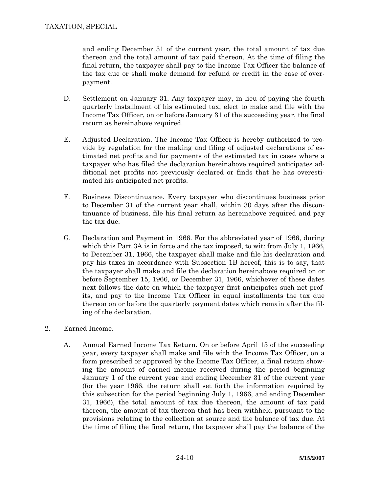and ending December 31 of the current year, the total amount of tax due thereon and the total amount of tax paid thereon. At the time of filing the final return, the taxpayer shall pay to the Income Tax Officer the balance of the tax due or shall make demand for refund or credit in the case of overpayment.

- D. Settlement on January 31. Any taxpayer may, in lieu of paying the fourth quarterly installment of his estimated tax, elect to make and file with the Income Tax Officer, on or before January 31 of the succeeding year, the final return as hereinabove required.
- E. Adjusted Declaration. The Income Tax Officer is hereby authorized to provide by regulation for the making and filing of adjusted declarations of estimated net profits and for payments of the estimated tax in cases where a taxpayer who has filed the declaration hereinabove required anticipates additional net profits not previously declared or finds that he has overestimated his anticipated net profits.
- F. Business Discontinuance. Every taxpayer who discontinues business prior to December 31 of the current year shall, within 30 days after the discontinuance of business, file his final return as hereinabove required and pay the tax due.
- G. Declaration and Payment in 1966. For the abbreviated year of 1966, during which this Part 3A is in force and the tax imposed, to wit: from July 1, 1966, to December 31, 1966, the taxpayer shall make and file his declaration and pay his taxes in accordance with Subsection 1B hereof, this is to say, that the taxpayer shall make and file the declaration hereinabove required on or before September 15, 1966, or December 31, 1966, whichever of these dates next follows the date on which the taxpayer first anticipates such net profits, and pay to the Income Tax Officer in equal installments the tax due thereon on or before the quarterly payment dates which remain after the filing of the declaration.
- 2. Earned Income.
	- A. Annual Earned Income Tax Return. On or before April 15 of the succeeding year, every taxpayer shall make and file with the Income Tax Officer, on a form prescribed or approved by the Income Tax Officer, a final return showing the amount of earned income received during the period beginning January 1 of the current year and ending December 31 of the current year (for the year 1966, the return shall set forth the information required by this subsection for the period beginning July 1, 1966, and ending December 31, 1966), the total amount of tax due thereon, the amount of tax paid thereon, the amount of tax thereon that has been withheld pursuant to the provisions relating to the collection at source and the balance of tax due. At the time of filing the final return, the taxpayer shall pay the balance of the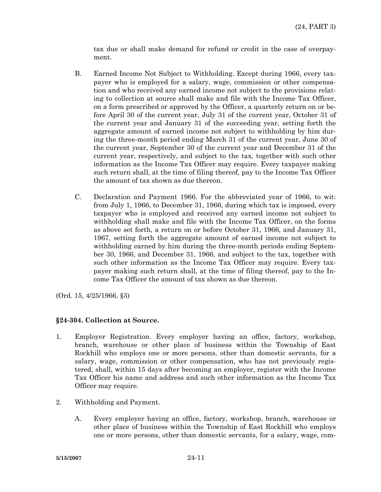tax due or shall make demand for refund or credit in the case of overpayment.

- B. Earned Income Not Subject to Withholding. Except during 1966, every taxpayer who is employed for a salary, wage, commission or other compensation and who received any earned income not subject to the provisions relating to collection at source shall make and file with the Income Tax Officer, on a form prescribed or approved by the Officer, a quarterly return on or before April 30 of the current year, July 31 of the current year, October 31 of the current year and January 31 of the succeeding year, setting forth the aggregate amount of earned income not subject to withholding by him during the three-month period ending March 31 of the current year, June 30 of the current year, September 30 of the current year and December 31 of the current year, respectively, and subject to the tax, together with such other information as the Income Tax Officer may require. Every taxpayer making such return shall, at the time of filing thereof, pay to the Income Tax Officer the amount of tax shown as due thereon.
- C. Declaration and Payment 1966. For the abbreviated year of 1966, to wit: from July 1, 1966, to December 31, 1966, during which tax is imposed, every taxpayer who is employed and received any earned income not subject to withholding shall make and file with the Income Tax Officer, on the forms as above set forth, a return on or before October 31, 1966, and January 31, 1967, setting forth the aggregate amount of earned income not subject to withholding earned by him during the three-month periods ending September 30, 1966, and December 31, 1966, and subject to the tax, together with such other information as the Income Tax Officer may require. Every taxpayer making such return shall, at the time of filing thereof, pay to the Income Tax Officer the amount of tax shown as due thereon.

(Ord. 15, 4/25/1966, §3)

# **§24-304. Collection at Source.**

- 1. Employer Registration. Every employer having an office, factory, workshop, branch, warehouse or other place of business within the Township of East Rockhill who employs one or more persons, other than domestic servants, for a salary, wage, commission or other compensation, who has not previously registered, shall, within 15 days after becoming an employer, register with the Income Tax Officer his name and address and such other information as the Income Tax Officer may require.
- 2. Withholding and Payment.
	- A. Every employer having an office, factory, workshop, branch, warehouse or other place of business within the Township of East Rockhill who employs one or more persons, other than domestic servants, for a salary, wage, com-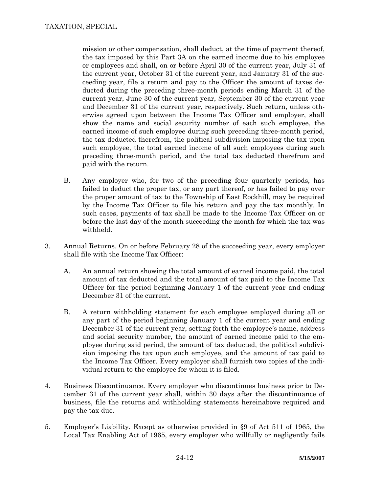mission or other compensation, shall deduct, at the time of payment thereof, the tax imposed by this Part 3A on the earned income due to his employee or employees and shall, on or before April 30 of the current year, July 31 of the current year, October 31 of the current year, and January 31 of the succeeding year, file a return and pay to the Officer the amount of taxes deducted during the preceding three-month periods ending March 31 of the current year, June 30 of the current year, September 30 of the current year and December 31 of the current year, respectively. Such return, unless otherwise agreed upon between the Income Tax Officer and employer, shall show the name and social security number of each such employee, the earned income of such employee during such preceding three-month period, the tax deducted therefrom, the political subdivision imposing the tax upon such employee, the total earned income of all such employees during such preceding three-month period, and the total tax deducted therefrom and paid with the return.

- B. Any employer who, for two of the preceding four quarterly periods, has failed to deduct the proper tax, or any part thereof, or has failed to pay over the proper amount of tax to the Township of East Rockhill, may be required by the Income Tax Officer to file his return and pay the tax monthly. In such cases, payments of tax shall be made to the Income Tax Officer on or before the last day of the month succeeding the month for which the tax was withheld.
- 3. Annual Returns. On or before February 28 of the succeeding year, every employer shall file with the Income Tax Officer:
	- A. An annual return showing the total amount of earned income paid, the total amount of tax deducted and the total amount of tax paid to the Income Tax Officer for the period beginning January 1 of the current year and ending December 31 of the current.
	- B. A return withholding statement for each employee employed during all or any part of the period beginning January 1 of the current year and ending December 31 of the current year, setting forth the employee's name, address and social security number, the amount of earned income paid to the employee during said period, the amount of tax deducted, the political subdivision imposing the tax upon such employee, and the amount of tax paid to the Income Tax Officer. Every employer shall furnish two copies of the individual return to the employee for whom it is filed.
- 4. Business Discontinuance. Every employer who discontinues business prior to December 31 of the current year shall, within 30 days after the discontinuance of business, file the returns and withholding statements hereinabove required and pay the tax due.
- 5. Employer's Liability. Except as otherwise provided in §9 of Act 511 of 1965, the Local Tax Enabling Act of 1965, every employer who willfully or negligently fails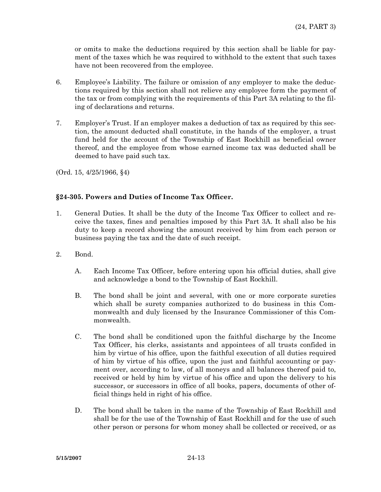or omits to make the deductions required by this section shall be liable for payment of the taxes which he was required to withhold to the extent that such taxes have not been recovered from the employee.

- 6. Employee's Liability. The failure or omission of any employer to make the deductions required by this section shall not relieve any employee form the payment of the tax or from complying with the requirements of this Part 3A relating to the filing of declarations and returns.
- 7. Employer's Trust. If an employer makes a deduction of tax as required by this section, the amount deducted shall constitute, in the hands of the employer, a trust fund held for the account of the Township of East Rockhill as beneficial owner thereof, and the employee from whose earned income tax was deducted shall be deemed to have paid such tax.

(Ord. 15, 4/25/1966, §4)

# **§24-305. Powers and Duties of Income Tax Officer.**

- 1. General Duties. It shall be the duty of the Income Tax Officer to collect and receive the taxes, fines and penalties imposed by this Part 3A. It shall also be his duty to keep a record showing the amount received by him from each person or business paying the tax and the date of such receipt.
- 2. Bond.
	- A. Each Income Tax Officer, before entering upon his official duties, shall give and acknowledge a bond to the Township of East Rockhill.
	- B. The bond shall be joint and several, with one or more corporate sureties which shall be surety companies authorized to do business in this Commonwealth and duly licensed by the Insurance Commissioner of this Commonwealth.
	- C. The bond shall be conditioned upon the faithful discharge by the Income Tax Officer, his clerks, assistants and appointees of all trusts confided in him by virtue of his office, upon the faithful execution of all duties required of him by virtue of his office, upon the just and faithful accounting or payment over, according to law, of all moneys and all balances thereof paid to, received or held by him by virtue of his office and upon the delivery to his successor, or successors in office of all books, papers, documents of other official things held in right of his office.
	- D. The bond shall be taken in the name of the Township of East Rockhill and shall be for the use of the Township of East Rockhill and for the use of such other person or persons for whom money shall be collected or received, or as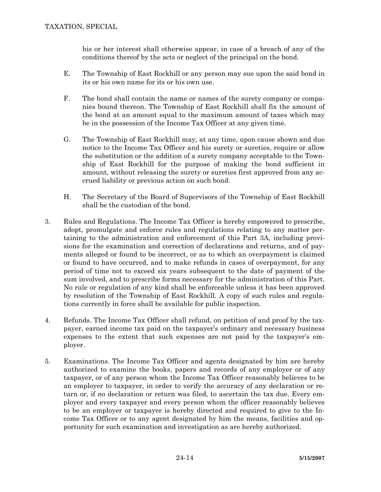his or her interest shall otherwise appear, in case of a breach of any of the conditions thereof by the acts or neglect of the principal on the bond.

- E. The Township of East Rockhill or any person may sue upon the said bond in its or his own name for its or his own use.
- F. The bond shall contain the name or names of the surety company or companies bound thereon. The Township of East Rockhill shall fix the amount of the bond at an amount equal to the maximum amount of taxes which may be in the possession of the Income Tax Officer at any given time.
- G. The Township of East Rockhill may, at any time, upon cause shown and due notice to the Income Tax Officer and his surety or sureties, require or allow the substitution or the addition of a surety company acceptable to the Township of East Rockhill for the purpose of making the bond sufficient in amount, without releasing the surety or sureties first approved from any accrued liability or previous action on such bond.
- H. The Secretary of the Board of Supervisors of the Township of East Rockhill shall be the custodian of the bond.
- 3. Rules and Regulations. The Income Tax Officer is hereby empowered to prescribe, adopt, promulgate and enforce rules and regulations relating to any matter pertaining to the administration and enforcement of this Part 3A, including provisions for the examination and correction of declarations and returns, and of payments alleged or found to be incorrect, or as to which an overpayment is claimed or found to have occurred, and to make refunds in cases of overpayment, for any period of time not to exceed six years subsequent to the date of payment of the sum involved, and to prescribe forms necessary for the administration of this Part. No rule or regulation of any kind shall be enforceable unless it has been approved by resolution of the Township of East Rockhill. A copy of such rules and regulations currently in force shall be available for public inspection.
- 4. Refunds. The Income Tax Officer shall refund, on petition of and proof by the taxpayer, earned income tax paid on the taxpayer's ordinary and necessary business expenses to the extent that such expenses are not paid by the taxpayer's employer.
- 5. Examinations. The Income Tax Officer and agents designated by him are hereby authorized to examine the books, papers and records of any employer or of any taxpayer, or of any person whom the Income Tax Officer reasonably believes to be an employer to taxpayer, in order to verify the accuracy of any declaration or return or, if no declaration or return was filed, to ascertain the tax due. Every employer and every taxpayer and every person whom the officer reasonably believes to be an employer or taxpayer is hereby directed and required to give to the Income Tax Officer or to any agent designated by him the means, facilities and opportunity for such examination and investigation as are hereby authorized.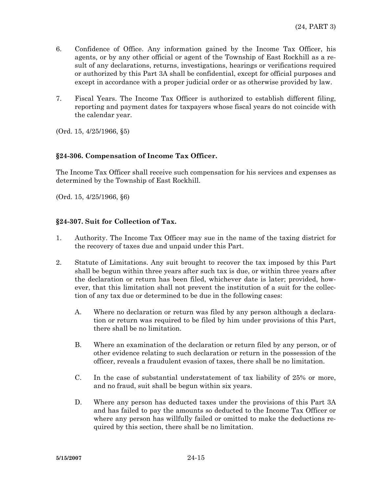- 6. Confidence of Office. Any information gained by the Income Tax Officer, his agents, or by any other official or agent of the Township of East Rockhill as a result of any declarations, returns, investigations, hearings or verifications required or authorized by this Part 3A shall be confidential, except for official purposes and except in accordance with a proper judicial order or as otherwise provided by law.
- 7. Fiscal Years. The Income Tax Officer is authorized to establish different filing, reporting and payment dates for taxpayers whose fiscal years do not coincide with the calendar year.

(Ord. 15, 4/25/1966, §5)

### **§24-306. Compensation of Income Tax Officer.**

The Income Tax Officer shall receive such compensation for his services and expenses as determined by the Township of East Rockhill.

(Ord. 15, 4/25/1966, §6)

### **§24-307. Suit for Collection of Tax.**

- 1. Authority. The Income Tax Officer may sue in the name of the taxing district for the recovery of taxes due and unpaid under this Part.
- 2. Statute of Limitations. Any suit brought to recover the tax imposed by this Part shall be begun within three years after such tax is due, or within three years after the declaration or return has been filed, whichever date is later; provided, however, that this limitation shall not prevent the institution of a suit for the collection of any tax due or determined to be due in the following cases:
	- A. Where no declaration or return was filed by any person although a declaration or return was required to be filed by him under provisions of this Part, there shall be no limitation.
	- B. Where an examination of the declaration or return filed by any person, or of other evidence relating to such declaration or return in the possession of the officer, reveals a fraudulent evasion of taxes, there shall be no limitation.
	- C. In the case of substantial understatement of tax liability of 25% or more, and no fraud, suit shall be begun within six years.
	- D. Where any person has deducted taxes under the provisions of this Part 3A and has failed to pay the amounts so deducted to the Income Tax Officer or where any person has willfully failed or omitted to make the deductions required by this section, there shall be no limitation.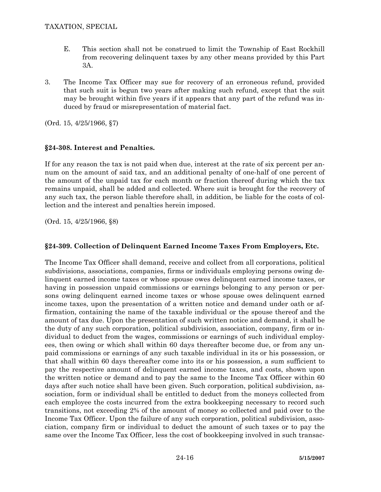- E. This section shall not be construed to limit the Township of East Rockhill from recovering delinquent taxes by any other means provided by this Part 3A.
- 3. The Income Tax Officer may sue for recovery of an erroneous refund, provided that such suit is begun two years after making such refund, except that the suit may be brought within five years if it appears that any part of the refund was induced by fraud or misrepresentation of material fact.

(Ord. 15, 4/25/1966, §7)

# **§24-308. Interest and Penalties.**

If for any reason the tax is not paid when due, interest at the rate of six percent per annum on the amount of said tax, and an additional penalty of one-half of one percent of the amount of the unpaid tax for each month or fraction thereof during which the tax remains unpaid, shall be added and collected. Where suit is brought for the recovery of any such tax, the person liable therefore shall, in addition, be liable for the costs of collection and the interest and penalties herein imposed.

(Ord. 15, 4/25/1966, §8)

# **§24-309. Collection of Delinquent Earned Income Taxes From Employers, Etc.**

The Income Tax Officer shall demand, receive and collect from all corporations, political subdivisions, associations, companies, firms or individuals employing persons owing delinquent earned income taxes or whose spouse owes delinquent earned income taxes, or having in possession unpaid commissions or earnings belonging to any person or persons owing delinquent earned income taxes or whose spouse owes delinquent earned income taxes, upon the presentation of a written notice and demand under oath or affirmation, containing the name of the taxable individual or the spouse thereof and the amount of tax due. Upon the presentation of such written notice and demand, it shall be the duty of any such corporation, political subdivision, association, company, firm or individual to deduct from the wages, commissions or earnings of such individual employees, then owing or which shall within 60 days thereafter become due, or from any unpaid commissions or earnings of any such taxable individual in its or his possession, or that shall within 60 days thereafter come into its or his possession, a sum sufficient to pay the respective amount of delinquent earned income taxes, and costs, shown upon the written notice or demand and to pay the same to the Income Tax Officer within 60 days after such notice shall have been given. Such corporation, political subdivision, association, form or individual shall be entitled to deduct from the moneys collected from each employee the costs incurred from the extra bookkeeping necessary to record such transitions, not exceeding 2% of the amount of money so collected and paid over to the Income Tax Officer. Upon the failure of any such corporation, political subdivision, association, company firm or individual to deduct the amount of such taxes or to pay the same over the Income Tax Officer, less the cost of bookkeeping involved in such transac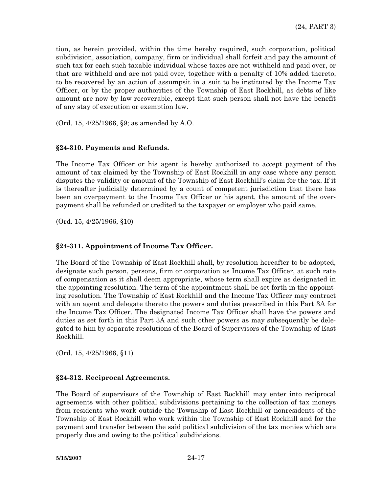tion, as herein provided, within the time hereby required, such corporation, political subdivision, association, company, firm or individual shall forfeit and pay the amount of such tax for each such taxable individual whose taxes are not withheld and paid over, or that are withheld and are not paid over, together with a penalty of 10% added thereto, to be recovered by an action of assumpsit in a suit to be instituted by the Income Tax Officer, or by the proper authorities of the Township of East Rockhill, as debts of like amount are now by law recoverable, except that such person shall not have the benefit of any stay of execution or exemption law.

(Ord. 15, 4/25/1966, §9; as amended by A.O.

## **§24-310. Payments and Refunds.**

The Income Tax Officer or his agent is hereby authorized to accept payment of the amount of tax claimed by the Township of East Rockhill in any case where any person disputes the validity or amount of the Township of East Rockhill's claim for the tax. If it is thereafter judicially determined by a count of competent jurisdiction that there has been an overpayment to the Income Tax Officer or his agent, the amount of the overpayment shall be refunded or credited to the taxpayer or employer who paid same.

(Ord. 15, 4/25/1966, §10)

## **§24-311. Appointment of Income Tax Officer.**

The Board of the Township of East Rockhill shall, by resolution hereafter to be adopted, designate such person, persons, firm or corporation as Income Tax Officer, at such rate of compensation as it shall deem appropriate, whose term shall expire as designated in the appointing resolution. The term of the appointment shall be set forth in the appointing resolution. The Township of East Rockhill and the Income Tax Officer may contract with an agent and delegate thereto the powers and duties prescribed in this Part 3A for the Income Tax Officer. The designated Income Tax Officer shall have the powers and duties as set forth in this Part 3A and such other powers as may subsequently be delegated to him by separate resolutions of the Board of Supervisors of the Township of East Rockhill.

(Ord. 15, 4/25/1966, §11)

## **§24-312. Reciprocal Agreements.**

The Board of supervisors of the Township of East Rockhill may enter into reciprocal agreements with other political subdivisions pertaining to the collection of tax moneys from residents who work outside the Township of East Rockhill or nonresidents of the Township of East Rockhill who work within the Township of East Rockhill and for the payment and transfer between the said political subdivision of the tax monies which are properly due and owing to the political subdivisions.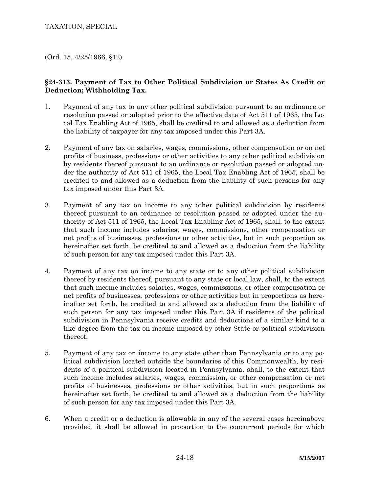(Ord. 15, 4/25/1966, §12)

# **§24-313. Payment of Tax to Other Political Subdivision or States As Credit or Deduction; Withholding Tax.**

- 1. Payment of any tax to any other political subdivision pursuant to an ordinance or resolution passed or adopted prior to the effective date of Act 511 of 1965, the Local Tax Enabling Act of 1965, shall be credited to and allowed as a deduction from the liability of taxpayer for any tax imposed under this Part 3A.
- 2. Payment of any tax on salaries, wages, commissions, other compensation or on net profits of business, professions or other activities to any other political subdivision by residents thereof pursuant to an ordinance or resolution passed or adopted under the authority of Act 511 of 1965, the Local Tax Enabling Act of 1965, shall be credited to and allowed as a deduction from the liability of such persons for any tax imposed under this Part 3A.
- 3. Payment of any tax on income to any other political subdivision by residents thereof pursuant to an ordinance or resolution passed or adopted under the authority of Act 511 of 1965, the Local Tax Enabling Act of 1965, shall, to the extent that such income includes salaries, wages, commissions, other compensation or net profits of businesses, professions or other activities, but in such proportion as hereinafter set forth, be credited to and allowed as a deduction from the liability of such person for any tax imposed under this Part 3A.
- 4. Payment of any tax on income to any state or to any other political subdivision thereof by residents thereof, pursuant to any state or local law, shall, to the extent that such income includes salaries, wages, commissions, or other compensation or net profits of businesses, professions or other activities but in proportions as hereinafter set forth, be credited to and allowed as a deduction from the liability of such person for any tax imposed under this Part 3A if residents of the political subdivision in Pennsylvania receive credits and deductions of a similar kind to a like degree from the tax on income imposed by other State or political subdivision thereof.
- 5. Payment of any tax on income to any state other than Pennsylvania or to any political subdivision located outside the boundaries of this Commonwealth, by residents of a political subdivision located in Pennsylvania, shall, to the extent that such income includes salaries, wages, commission, or other compensation or net profits of businesses, professions or other activities, but in such proportions as hereinafter set forth, be credited to and allowed as a deduction from the liability of such person for any tax imposed under this Part 3A.
- 6. When a credit or a deduction is allowable in any of the several cases hereinabove provided, it shall be allowed in proportion to the concurrent periods for which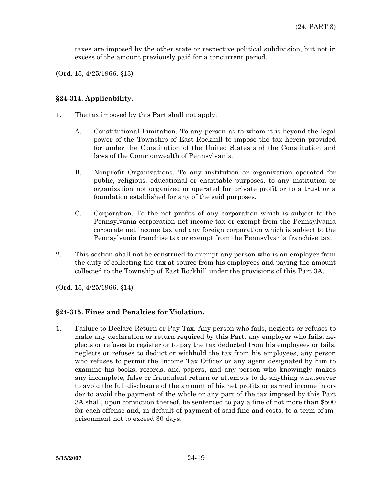taxes are imposed by the other state or respective political subdivision, but not in excess of the amount previously paid for a concurrent period.

(Ord. 15, 4/25/1966, §13)

### **§24-314. Applicability.**

- 1. The tax imposed by this Part shall not apply:
	- A. Constitutional Limitation. To any person as to whom it is beyond the legal power of the Township of East Rockhill to impose the tax herein provided for under the Constitution of the United States and the Constitution and laws of the Commonwealth of Pennsylvania.
	- B. Nonprofit Organizations. To any institution or organization operated for public, religious, educational or charitable purposes, to any institution or organization not organized or operated for private profit or to a trust or a foundation established for any of the said purposes.
	- C. Corporation. To the net profits of any corporation which is subject to the Pennsylvania corporation net income tax or exempt from the Pennsylvania corporate net income tax and any foreign corporation which is subject to the Pennsylvania franchise tax or exempt from the Pennsylvania franchise tax.
- 2. This section shall not be construed to exempt any person who is an employer from the duty of collecting the tax at source from his employees and paying the amount collected to the Township of East Rockhill under the provisions of this Part 3A.

(Ord. 15, 4/25/1966, §14)

## **§24-315. Fines and Penalties for Violation.**

1. Failure to Declare Return or Pay Tax. Any person who fails, neglects or refuses to make any declaration or return required by this Part, any employer who fails, neglects or refuses to register or to pay the tax deducted from his employees or fails, neglects or refuses to deduct or withhold the tax from his employees, any person who refuses to permit the Income Tax Officer or any agent designated by him to examine his books, records, and papers, and any person who knowingly makes any incomplete, false or fraudulent return or attempts to do anything whatsoever to avoid the full disclosure of the amount of his net profits or earned income in order to avoid the payment of the whole or any part of the tax imposed by this Part 3A shall, upon conviction thereof, be sentenced to pay a fine of not more than \$500 for each offense and, in default of payment of said fine and costs, to a term of imprisonment not to exceed 30 days.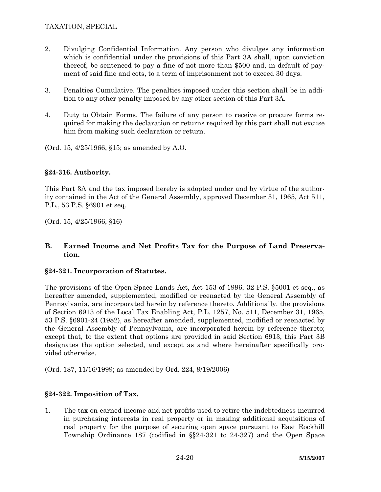- 2. Divulging Confidential Information. Any person who divulges any information which is confidential under the provisions of this Part 3A shall, upon conviction thereof, be sentenced to pay a fine of not more than \$500 and, in default of payment of said fine and cots, to a term of imprisonment not to exceed 30 days.
- 3. Penalties Cumulative. The penalties imposed under this section shall be in addition to any other penalty imposed by any other section of this Part 3A.
- 4. Duty to Obtain Forms. The failure of any person to receive or procure forms required for making the declaration or returns required by this part shall not excuse him from making such declaration or return.

(Ord. 15, 4/25/1966, §15; as amended by A.O.

# **§24-316. Authority.**

This Part 3A and the tax imposed hereby is adopted under and by virtue of the authority contained in the Act of the General Assembly, approved December 31, 1965, Act 511, P.L., 53 P.S. §6901 et seq.

(Ord. 15, 4/25/1966, §16)

## **B. Earned Income and Net Profits Tax for the Purpose of Land Preservation.**

## **§24-321. Incorporation of Statutes.**

The provisions of the Open Space Lands Act, Act 153 of 1996, 32 P.S. §5001 et seq., as hereafter amended, supplemented, modified or reenacted by the General Assembly of Pennsylvania, are incorporated herein by reference thereto. Additionally, the provisions of Section 6913 of the Local Tax Enabling Act, P.L. 1257, No. 511, December 31, 1965, 53 P.S. §6901-24 (1982), as hereafter amended, supplemented, modified or reenacted by the General Assembly of Pennsylvania, are incorporated herein by reference thereto; except that, to the extent that options are provided in said Section 6913, this Part 3B designates the option selected, and except as and where hereinafter specifically provided otherwise.

(Ord. 187, 11/16/1999; as amended by Ord. 224, 9/19/2006)

# **§24-322. Imposition of Tax.**

1. The tax on earned income and net profits used to retire the indebtedness incurred in purchasing interests in real property or in making additional acquisitions of real property for the purpose of securing open space pursuant to East Rockhill Township Ordinance 187 (codified in §§24-321 to 24-327) and the Open Space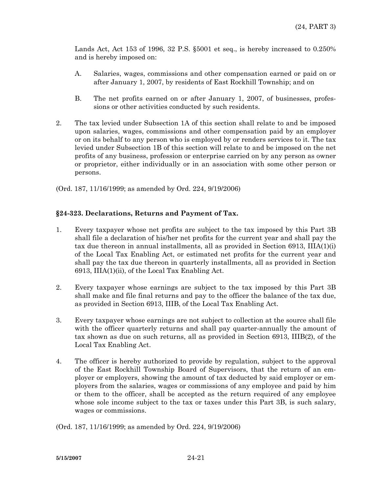Lands Act, Act 153 of 1996, 32 P.S. §5001 et seq., is hereby increased to 0.250% and is hereby imposed on:

- A. Salaries, wages, commissions and other compensation earned or paid on or after January 1, 2007, by residents of East Rockhill Township; and on
- B. The net profits earned on or after January 1, 2007, of businesses, professions or other activities conducted by such residents.
- 2. The tax levied under Subsection 1A of this section shall relate to and be imposed upon salaries, wages, commissions and other compensation paid by an employer or on its behalf to any person who is employed by or renders services to it. The tax levied under Subsection 1B of this section will relate to and be imposed on the net profits of any business, profession or enterprise carried on by any person as owner or proprietor, either individually or in an association with some other person or persons.

(Ord. 187, 11/16/1999; as amended by Ord. 224, 9/19/2006)

## **§24-323. Declarations, Returns and Payment of Tax.**

- 1. Every taxpayer whose net profits are subject to the tax imposed by this Part 3B shall file a declaration of his/her net profits for the current year and shall pay the tax due thereon in annual installments, all as provided in Section 6913, IIIA(1)(i) of the Local Tax Enabling Act, or estimated net profits for the current year and shall pay the tax due thereon in quarterly installments, all as provided in Section 6913, IIIA(1)(ii), of the Local Tax Enabling Act.
- 2. Every taxpayer whose earnings are subject to the tax imposed by this Part 3B shall make and file final returns and pay to the officer the balance of the tax due, as provided in Section 6913, IIIB, of the Local Tax Enabling Act.
- 3. Every taxpayer whose earnings are not subject to collection at the source shall file with the officer quarterly returns and shall pay quarter-annually the amount of tax shown as due on such returns, all as provided in Section 6913, IIIB(2), of the Local Tax Enabling Act.
- 4. The officer is hereby authorized to provide by regulation, subject to the approval of the East Rockhill Township Board of Supervisors, that the return of an employer or employers, showing the amount of tax deducted by said employer or employers from the salaries, wages or commissions of any employee and paid by him or them to the officer, shall be accepted as the return required of any employee whose sole income subject to the tax or taxes under this Part 3B, is such salary, wages or commissions.

(Ord. 187, 11/16/1999; as amended by Ord. 224, 9/19/2006)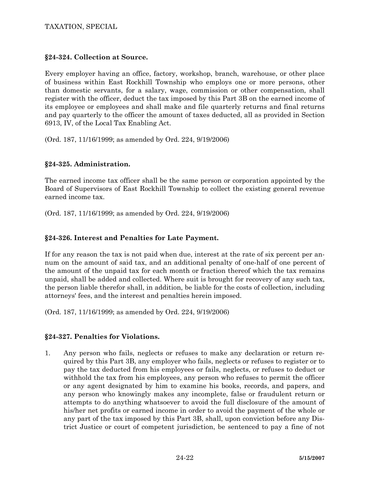# **§24-324. Collection at Source.**

Every employer having an office, factory, workshop, branch, warehouse, or other place of business within East Rockhill Township who employs one or more persons, other than domestic servants, for a salary, wage, commission or other compensation, shall register with the officer, deduct the tax imposed by this Part 3B on the earned income of its employee or employees and shall make and file quarterly returns and final returns and pay quarterly to the officer the amount of taxes deducted, all as provided in Section 6913, IV, of the Local Tax Enabling Act.

(Ord. 187, 11/16/1999; as amended by Ord. 224, 9/19/2006)

# **§24-325. Administration.**

The earned income tax officer shall be the same person or corporation appointed by the Board of Supervisors of East Rockhill Township to collect the existing general revenue earned income tax.

(Ord. 187, 11/16/1999; as amended by Ord. 224, 9/19/2006)

# **§24-326. Interest and Penalties for Late Payment.**

If for any reason the tax is not paid when due, interest at the rate of six percent per annum on the amount of said tax, and an additional penalty of one-half of one percent of the amount of the unpaid tax for each month or fraction thereof which the tax remains unpaid, shall be added and collected. Where suit is brought for recovery of any such tax, the person liable therefor shall, in addition, be liable for the costs of collection, including attorneys' fees, and the interest and penalties herein imposed.

(Ord. 187, 11/16/1999; as amended by Ord. 224, 9/19/2006)

## **§24-327. Penalties for Violations.**

1. Any person who fails, neglects or refuses to make any declaration or return required by this Part 3B, any employer who fails, neglects or refuses to register or to pay the tax deducted from his employees or fails, neglects, or refuses to deduct or withhold the tax from his employees, any person who refuses to permit the officer or any agent designated by him to examine his books, records, and papers, and any person who knowingly makes any incomplete, false or fraudulent return or attempts to do anything whatsoever to avoid the full disclosure of the amount of his/her net profits or earned income in order to avoid the payment of the whole or any part of the tax imposed by this Part 3B, shall, upon conviction before any District Justice or court of competent jurisdiction, be sentenced to pay a fine of not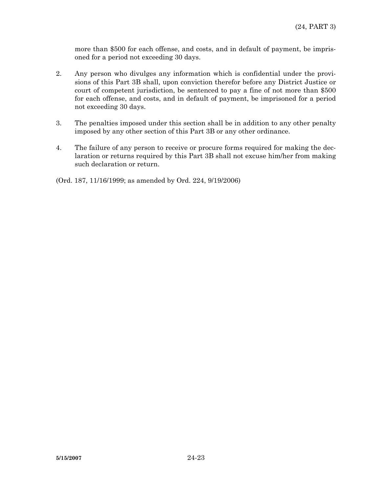more than \$500 for each offense, and costs, and in default of payment, be imprisoned for a period not exceeding 30 days.

- 2. Any person who divulges any information which is confidential under the provisions of this Part 3B shall, upon conviction therefor before any District Justice or court of competent jurisdiction, be sentenced to pay a fine of not more than \$500 for each offense, and costs, and in default of payment, be imprisoned for a period not exceeding 30 days.
- 3. The penalties imposed under this section shall be in addition to any other penalty imposed by any other section of this Part 3B or any other ordinance.
- 4. The failure of any person to receive or procure forms required for making the declaration or returns required by this Part 3B shall not excuse him/her from making such declaration or return.

(Ord. 187, 11/16/1999; as amended by Ord. 224, 9/19/2006)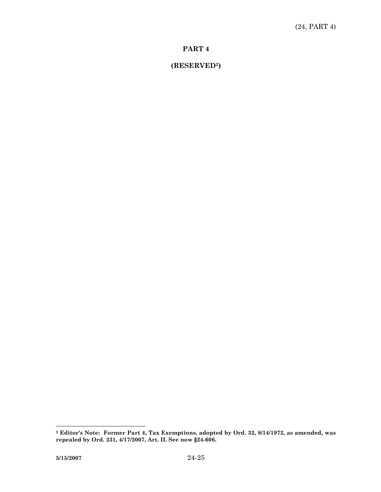# **(RESERVED2)**

**<sup>2</sup> Editor's Note: Former Part 4, Tax Exemptions, adopted by Ord. 32, 8/14/1972, as amended, was repealed by Ord. 231, 4/17/2007, Art. II. See now §24-606.**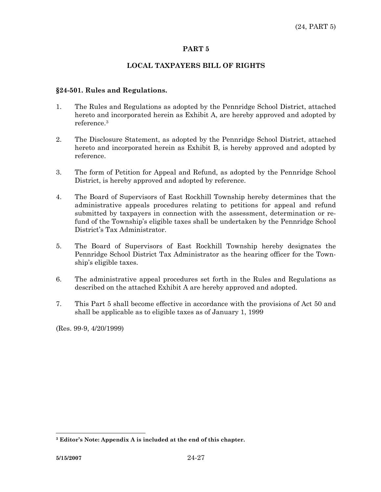### **LOCAL TAXPAYERS BILL OF RIGHTS**

#### **§24-501. Rules and Regulations.**

- 1. The Rules and Regulations as adopted by the Pennridge School District, attached hereto and incorporated herein as Exhibit A, are hereby approved and adopted by reference.3
- 2. The Disclosure Statement, as adopted by the Pennridge School District, attached hereto and incorporated herein as Exhibit B, is hereby approved and adopted by reference.
- 3. The form of Petition for Appeal and Refund, as adopted by the Pennridge School District, is hereby approved and adopted by reference.
- 4. The Board of Supervisors of East Rockhill Township hereby determines that the administrative appeals procedures relating to petitions for appeal and refund submitted by taxpayers in connection with the assessment, determination or refund of the Township's eligible taxes shall be undertaken by the Pennridge School District's Tax Administrator.
- 5. The Board of Supervisors of East Rockhill Township hereby designates the Pennridge School District Tax Administrator as the hearing officer for the Township's eligible taxes.
- 6. The administrative appeal procedures set forth in the Rules and Regulations as described on the attached Exhibit A are hereby approved and adopted.
- 7. This Part 5 shall become effective in accordance with the provisions of Act 50 and shall be applicable as to eligible taxes as of January 1, 1999

(Res. 99-9, 4/20/1999)

 **3 Editor's Note: Appendix A is included at the end of this chapter.**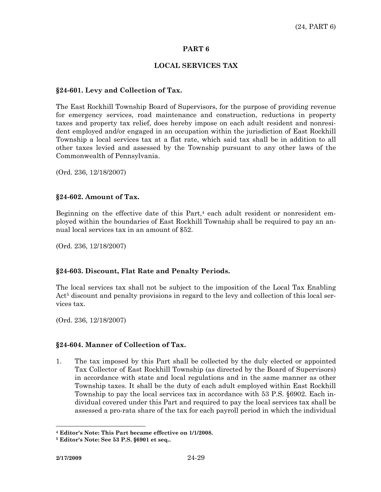## **LOCAL SERVICES TAX**

#### **§24-601. Levy and Collection of Tax.**

The East Rockhill Township Board of Supervisors, for the purpose of providing revenue for emergency services, road maintenance and construction, reductions in property taxes and property tax relief, does hereby impose on each adult resident and nonresident employed and/or engaged in an occupation within the jurisdiction of East Rockhill Township a local services tax at a flat rate, which said tax shall be in addition to all other taxes levied and assessed by the Township pursuant to any other laws of the Commonwealth of Pennsylvania.

(Ord. 236, 12/18/2007)

### **§24-602. Amount of Tax.**

Beginning on the effective date of this Part, $4$  each adult resident or nonresident employed within the boundaries of East Rockhill Township shall be required to pay an annual local services tax in an amount of \$52.

(Ord. 236, 12/18/2007)

## **§24-603. Discount, Flat Rate and Penalty Periods.**

The local services tax shall not be subject to the imposition of the Local Tax Enabling Act<sup>5</sup> discount and penalty provisions in regard to the levy and collection of this local services tax.

(Ord. 236, 12/18/2007)

## **§24-604. Manner of Collection of Tax.**

1. The tax imposed by this Part shall be collected by the duly elected or appointed Tax Collector of East Rockhill Township (as directed by the Board of Supervisors) in accordance with state and local regulations and in the same manner as other Township taxes. It shall be the duty of each adult employed within East Rockhill Township to pay the local services tax in accordance with 53 P.S. §6902. Each individual covered under this Part and required to pay the local services tax shall be assessed a pro-rata share of the tax for each payroll period in which the individual

 **4 Editor's Note: This Part became effective on 1/1/2008.** 

**<sup>5</sup> Editor's Note: See 53 P.S. §6901 et seq..**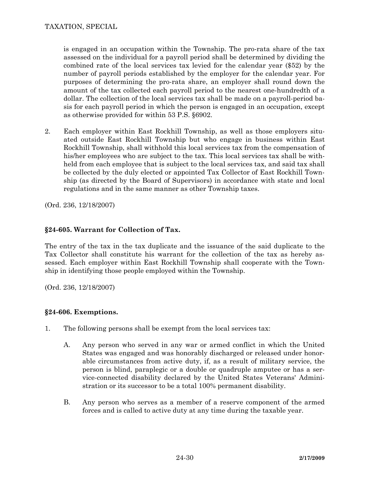is engaged in an occupation within the Township. The pro-rata share of the tax assessed on the individual for a payroll period shall be determined by dividing the combined rate of the local services tax levied for the calendar year (\$52) by the number of payroll periods established by the employer for the calendar year. For purposes of determining the pro-rata share, an employer shall round down the amount of the tax collected each payroll period to the nearest one-hundredth of a dollar. The collection of the local services tax shall be made on a payroll-period basis for each payroll period in which the person is engaged in an occupation, except as otherwise provided for within 53 P.S. §6902.

2. Each employer within East Rockhill Township, as well as those employers situated outside East Rockhill Township but who engage in business within East Rockhill Township, shall withhold this local services tax from the compensation of his/her employees who are subject to the tax. This local services tax shall be withheld from each employee that is subject to the local services tax, and said tax shall be collected by the duly elected or appointed Tax Collector of East Rockhill Township (as directed by the Board of Supervisors) in accordance with state and local regulations and in the same manner as other Township taxes.

(Ord. 236, 12/18/2007)

# **§24-605. Warrant for Collection of Tax.**

The entry of the tax in the tax duplicate and the issuance of the said duplicate to the Tax Collector shall constitute his warrant for the collection of the tax as hereby assessed. Each employer within East Rockhill Township shall cooperate with the Township in identifying those people employed within the Township.

(Ord. 236, 12/18/2007)

# **§24-606. Exemptions.**

- 1. The following persons shall be exempt from the local services tax:
	- A. Any person who served in any war or armed conflict in which the United States was engaged and was honorably discharged or released under honorable circumstances from active duty, if, as a result of military service, the person is blind, paraplegic or a double or quadruple amputee or has a service-connected disability declared by the United States Veterans' Administration or its successor to be a total 100% permanent disability.
	- B. Any person who serves as a member of a reserve component of the armed forces and is called to active duty at any time during the taxable year.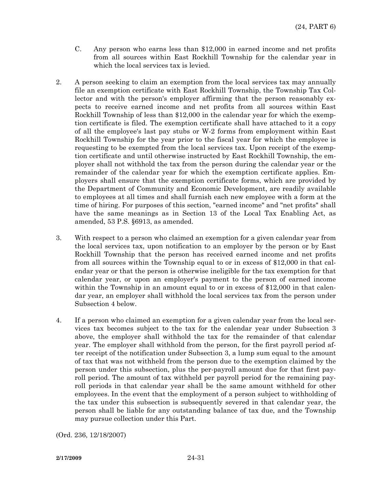- C. Any person who earns less than \$12,000 in earned income and net profits from all sources within East Rockhill Township for the calendar year in which the local services tax is levied.
- 2. A person seeking to claim an exemption from the local services tax may annually file an exemption certificate with East Rockhill Township, the Township Tax Collector and with the person's employer affirming that the person reasonably expects to receive earned income and net profits from all sources within East Rockhill Township of less than \$12,000 in the calendar year for which the exemption certificate is filed. The exemption certificate shall have attached to it a copy of all the employee's last pay stubs or W-2 forms from employment within East Rockhill Township for the year prior to the fiscal year for which the employee is requesting to be exempted from the local services tax. Upon receipt of the exemption certificate and until otherwise instructed by East Rockhill Township, the employer shall not withhold the tax from the person during the calendar year or the remainder of the calendar year for which the exemption certificate applies. Employers shall ensure that the exemption certificate forms, which are provided by the Department of Community and Economic Development, are readily available to employees at all times and shall furnish each new employee with a form at the time of hiring. For purposes of this section, "earned income" and "net profits" shall have the same meanings as in Section 13 of the Local Tax Enabling Act, as amended, 53 P.S. §6913, as amended.
- 3. With respect to a person who claimed an exemption for a given calendar year from the local services tax, upon notification to an employer by the person or by East Rockhill Township that the person has received earned income and net profits from all sources within the Township equal to or in excess of \$12,000 in that calendar year or that the person is otherwise ineligible for the tax exemption for that calendar year, or upon an employer's payment to the person of earned income within the Township in an amount equal to or in excess of \$12,000 in that calendar year, an employer shall withhold the local services tax from the person under Subsection 4 below.
- 4. If a person who claimed an exemption for a given calendar year from the local services tax becomes subject to the tax for the calendar year under Subsection 3 above, the employer shall withhold the tax for the remainder of that calendar year. The employer shall withhold from the person, for the first payroll period after receipt of the notification under Subsection 3, a lump sum equal to the amount of tax that was not withheld from the person due to the exemption claimed by the person under this subsection, plus the per-payroll amount due for that first payroll period. The amount of tax withheld per payroll period for the remaining payroll periods in that calendar year shall be the same amount withheld for other employees. In the event that the employment of a person subject to withholding of the tax under this subsection is subsequently severed in that calendar year, the person shall be liable for any outstanding balance of tax due, and the Township may pursue collection under this Part.

(Ord. 236, 12/18/2007)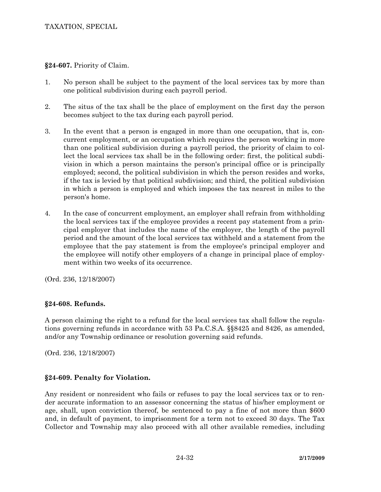**§24-607.** Priority of Claim.

- 1. No person shall be subject to the payment of the local services tax by more than one political subdivision during each payroll period.
- 2. The situs of the tax shall be the place of employment on the first day the person becomes subject to the tax during each payroll period.
- 3. In the event that a person is engaged in more than one occupation, that is, concurrent employment, or an occupation which requires the person working in more than one political subdivision during a payroll period, the priority of claim to collect the local services tax shall be in the following order: first, the political subdivision in which a person maintains the person's principal office or is principally employed; second, the political subdivision in which the person resides and works, if the tax is levied by that political subdivision; and third, the political subdivision in which a person is employed and which imposes the tax nearest in miles to the person's home.
- 4. In the case of concurrent employment, an employer shall refrain from withholding the local services tax if the employee provides a recent pay statement from a principal employer that includes the name of the employer, the length of the payroll period and the amount of the local services tax withheld and a statement from the employee that the pay statement is from the employee's principal employer and the employee will notify other employers of a change in principal place of employment within two weeks of its occurrence.

(Ord. 236, 12/18/2007)

## **§24-608. Refunds.**

A person claiming the right to a refund for the local services tax shall follow the regulations governing refunds in accordance with 53 Pa.C.S.A. §§8425 and 8426, as amended, and/or any Township ordinance or resolution governing said refunds.

(Ord. 236, 12/18/2007)

# **§24-609. Penalty for Violation.**

Any resident or nonresident who fails or refuses to pay the local services tax or to render accurate information to an assessor concerning the status of his/her employment or age, shall, upon conviction thereof, be sentenced to pay a fine of not more than \$600 and, in default of payment, to imprisonment for a term not to exceed 30 days. The Tax Collector and Township may also proceed with all other available remedies, including